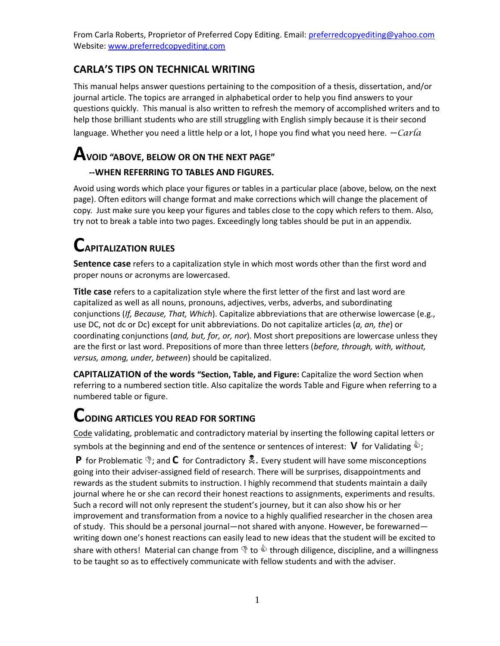#### **CARLA'S TIPS ON TECHNICAL WRITING**

This manual helps answer questions pertaining to the composition of a thesis, dissertation, and/or journal article. The topics are arranged in alphabetical order to help you find answers to your questions quickly. This manual is also written to refresh the memory of accomplished writers and to help those brilliant students who are still struggling with English simply because it is their second language. Whether you need a little help or a lot, I hope you find what you need here.  $-carla$ 

## **AVOID "ABOVE, BELOW OR ON THE NEXT PAGE"**

#### **--WHEN REFERRING TO TABLES AND FIGURES.**

Avoid using words which place your figures or tables in a particular place (above, below, on the next page). Often editors will change format and make corrections which will change the placement of copy. Just make sure you keep your figures and tables close to the copy which refers to them. Also, try not to break a table into two pages. Exceedingly long tables should be put in an appendix.

### **CAPITALIZATION RULES**

**Sentence case** refers to a capitalization style in which most words other than the first word and proper nouns or acronyms are lowercased.

**Title case** refers to a capitalization style where the first letter of the first and last word are capitalized as well as all nouns, pronouns, adjectives, verbs, adverbs, and subordinating conjunctions (*If, Because, That, Which*). Capitalize abbreviations that are otherwise lowercase (e.g., use DC, not dc or Dc) except for unit abbreviations. Do not capitalize articles (*a, an, the*) or coordinating conjunctions (*and, but, for, or, nor*). Most short prepositions are lowercase unless they are the first or last word. Prepositions of more than three letters (*before, through, with, without, versus, among, under, between*) should be capitalized.

**CAPITALIZATION of the words "Section, Table, and Figure:** Capitalize the word Section when referring to a numbered section title. Also capitalize the words Table and Figure when referring to a numbered table or figure.

### **CODING ARTICLES YOU READ FOR SORTING**

Code validating, problematic and contradictory material by inserting the following capital letters or symbols at the beginning and end of the sentence or sentences of interest: **V** for Validating  $\hat{\mathbf{v}}$ ;

**P** for Problematic  $\hat{\mathcal{F}}$ ; and **C** for Contradictory  $\hat{\mathcal{F}}$ . Every student will have some misconceptions going into their adviser-assigned field of research. There will be surprises, disappointments and rewards as the student submits to instruction. I highly recommend that students maintain a daily journal where he or she can record their honest reactions to assignments, experiments and results. Such a record will not only represent the student's journey, but it can also show his or her improvement and transformation from a novice to a highly qualified researcher in the chosen area of study. This should be a personal journal—not shared with anyone. However, be forewarned writing down one's honest reactions can easily lead to new ideas that the student will be excited to share with others! Material can change from  $\mathcal{F}$  to  $\mathcal{F}$  through diligence, discipline, and a willingness to be taught so as to effectively communicate with fellow students and with the adviser.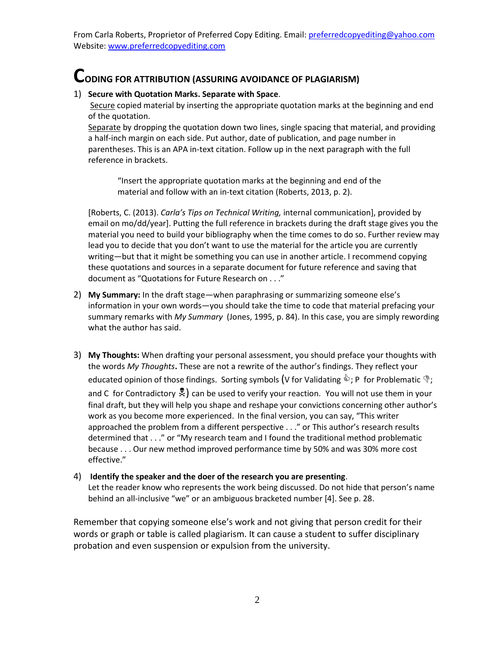### **CODING FOR ATTRIBUTION (ASSURING AVOIDANCE OF PLAGIARISM)**

#### 1) **Secure with Quotation Marks. Separate with Space**.

Secure copied material by inserting the appropriate quotation marks at the beginning and end of the quotation.

Separate by dropping the quotation down two lines, single spacing that material, and providing a half-inch margin on each side. Put author, date of publication, and page number in parentheses. This is an APA in-text citation. Follow up in the next paragraph with the full reference in brackets.

"Insert the appropriate quotation marks at the beginning and end of the material and follow with an in-text citation (Roberts, 2013, p. 2).

[Roberts, C. (2013). *Carla's Tips on Technical Writing,* internal communication], provided by email on mo/dd/year]. Putting the full reference in brackets during the draft stage gives you the material you need to build your bibliography when the time comes to do so. Further review may lead you to decide that you don't want to use the material for the article you are currently writing—but that it might be something you can use in another article. I recommend copying these quotations and sources in a separate document for future reference and saving that document as "Quotations for Future Research on . . ."

- 2) **My Summary:** In the draft stage—when paraphrasing or summarizing someone else's information in your own words—you should take the time to code that material prefacing your summary remarks with *My Summary* (Jones, 1995, p. 84). In this case, you are simply rewording what the author has said.
- 3) **My Thoughts:** When drafting your personal assessment, you should preface your thoughts with the words *My Thoughts***.** These are not a rewrite of the author's findings. They reflect your educated opinion of those findings. Sorting symbols (V for Validating  $\hat{\mathbb{Q}}$ ; P for Problematic  $\hat{\mathbb{Q}}$ ; and C for Contradictory  $\frac{1}{2}$  can be used to verify your reaction. You will not use them in your final draft, but they will help you shape and reshape your convictions concerning other author's work as you become more experienced. In the final version, you can say, "This writer approached the problem from a different perspective . . ." or This author's research results determined that . . ." or "My research team and I found the traditional method problematic because . . . Our new method improved performance time by 50% and was 30% more cost effective."

#### 4) **Identify the speaker and the doer of the research you are presenting**.

Let the reader know who represents the work being discussed. Do not hide that person's name behind an all-inclusive "we" or an ambiguous bracketed number [4]. See p. 28.

Remember that copying someone else's work and not giving that person credit for their words or graph or table is called plagiarism. It can cause a student to suffer disciplinary probation and even suspension or expulsion from the university.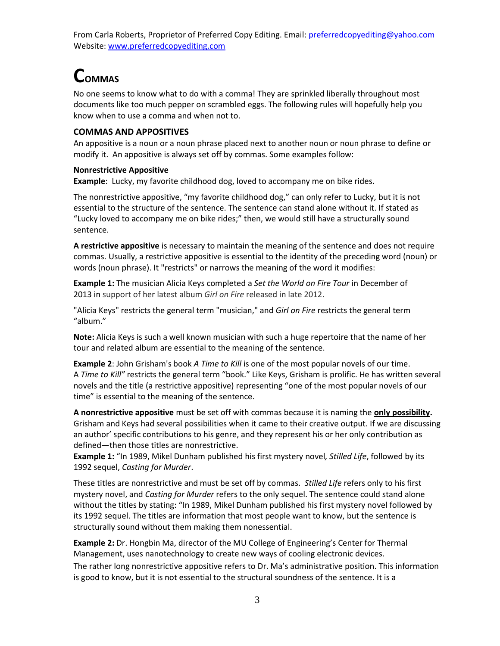### **COMMAS**

No one seems to know what to do with a comma! They are sprinkled liberally throughout most documents like too much pepper on scrambled eggs. The following rules will hopefully help you know when to use a comma and when not to.

#### **COMMAS AND APPOSITIVES**

An appositive is a noun or a noun phrase placed next to another noun or noun phrase to define or modify it. An appositive is always set off by commas. Some examples follow:

#### **Nonrestrictive Appositive**

**Example**: Lucky, my favorite childhood dog, loved to accompany me on bike rides.

The nonrestrictive appositive, "my favorite childhood dog," can only refer to Lucky, but it is not essential to the structure of the sentence. The sentence can stand alone without it. If stated as "Lucky loved to accompany me on bike rides;" then, we would still have a structurally sound sentence.

**A restrictive appositive** is necessary to maintain the meaning of the sentence and does not require commas. Usually, a restrictive appositive is essential to the identity of the preceding word (noun) or words (noun phrase). It "restricts" or narrows the meaning of the word it modifies:

**Example 1:** The musician Alicia Keys completed a *Set the World on Fire Tour* in December of 2013 in support of her latest album *Girl on Fire* released in late 2012.

"Alicia Keys" restricts the general term "musician," and *Girl on Fire* restricts the general term "album."

**Note:** Alicia Keys is such a well known musician with such a huge repertoire that the name of her tour and related album are essential to the meaning of the sentence.

**Example 2**: John Grisham's book *A Time to Kill* is one of the most popular novels of our time. A *Time to Kill"* restricts the general term "book." Like Keys, Grisham is prolific. He has written several novels and the title (a restrictive appositive) representing "one of the most popular novels of our time" is essential to the meaning of the sentence.

**A nonrestrictive appositive** must be set off with commas because it is naming the **only possibility.**  Grisham and Keys had several possibilities when it came to their creative output. If we are discussing an author' specific contributions to his genre, and they represent his or her only contribution as defined—then those titles are nonrestrictive.

**Example 1:** "In 1989, Mikel Dunham published his first mystery novel*, Stilled Life*, followed by its 1992 sequel, *Casting for Murder*.

These titles are nonrestrictive and must be set off by commas. *Stilled Life* refers only to his first mystery novel, and *Casting for Murder* refers to the only sequel. The sentence could stand alone without the titles by stating: "In 1989, Mikel Dunham published his first mystery novel followed by its 1992 sequel. The titles are information that most people want to know, but the sentence is structurally sound without them making them nonessential.

**Example 2:** Dr. Hongbin Ma, director of the MU College of Engineering's Center for Thermal Management, uses nanotechnology to create new ways of cooling electronic devices.

The rather long nonrestrictive appositive refers to Dr. Ma's administrative position. This information is good to know, but it is not essential to the structural soundness of the sentence. It is a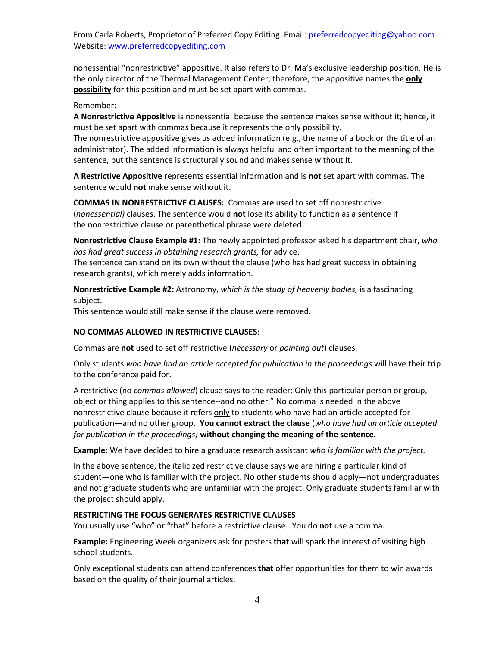nonessential "nonrestrictive" appositive. It also refers to Dr. Ma's exclusive leadership position. He is the only director of the Thermal Management Center; therefore, the appositive names the **only possibility** for this position and must be set apart with commas.

#### Remember:

**A Nonrestrictive Appositive** is nonessential because the sentence makes sense without it; hence, it must be set apart with commas because it represents the only possibility.

The nonrestrictive appositive gives us added information (e.g., the name of a book or the title of an administrator). The added information is always helpful and often important to the meaning of the sentence, but the sentence is structurally sound and makes sense without it.

**A Restrictive Appositive** represents essential information and is **not** set apart with commas. The sentence would **not** make sense without it.

**COMMAS IN NONRESTRICTIVE CLAUSES:** Commas **are** used to set off nonrestrictive (*nonessential)* clauses. The sentence would **not** lose its ability to function as a sentence if the nonrestrictive clause or parenthetical phrase were deleted.

**Nonrestrictive Clause Example #1:** The newly appointed professor asked his department chair, *who has had great success in obtaining research grants,* for advice.

The sentence can stand on its own without the clause (who has had great success in obtaining research grants), which merely adds information.

**Nonrestrictive Example #2:** Astronomy, *which is the study of heavenly bodies,* is a fascinating subject.

This sentence would still make sense if the clause were removed.

#### **NO COMMAS ALLOWED IN RESTRICTIVE CLAUSES**:

Commas are **not** used to set off restrictive (*necessary* or *pointing out*) clauses.

Only students *who have had an article accepted for publication in the proceedings* will have their trip to the conference paid for.

A restrictive (no *commas allowed*) clause says to the reader: Only this particular person or group, object or thing applies to this sentence--and no other." No comma is needed in the above nonrestrictive clause because it refers only to students who have had an article accepted for publication—and no other group. **You cannot extract the clause** (*who have had an article accepted for publication in the proceedings)* **without changing the meaning of the sentence.** 

**Example:** We have decided to hire a graduate research assistant *who is familiar with the project.*

In the above sentence, the italicized restrictive clause says we are hiring a particular kind of student—one who is familiar with the project. No other students should apply—not undergraduates and not graduate students who are unfamiliar with the project. Only graduate students familiar with the project should apply.

#### **RESTRICTING THE FOCUS GENERATES RESTRICTIVE CLAUSES**

You usually use "who" or "that" before a restrictive clause. You do **not** use a comma.

**Example:** Engineering Week organizers ask for posters **that** will spark the interest of visiting high school students.

Only exceptional students can attend conferences **that** offer opportunities for them to win awards based on the quality of their journal articles.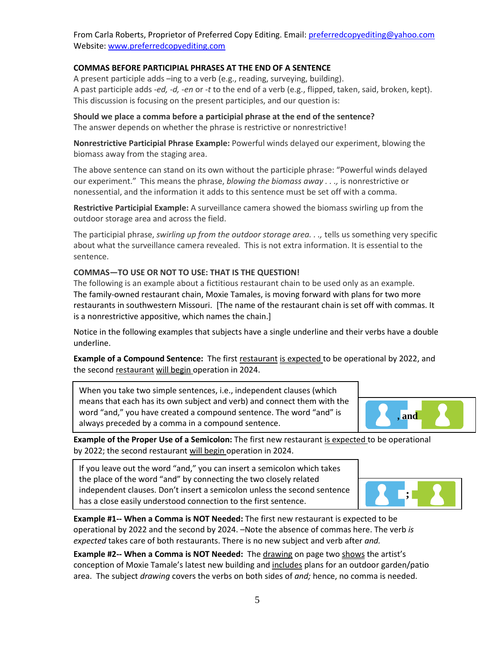#### **COMMAS BEFORE PARTICIPIAL PHRASES AT THE END OF A SENTENCE**

A present participle adds –ing to a verb (e.g., reading, surveying, building). A past participle adds *-ed, -d, -en* or *-t* to the end of a verb (e.g., flipped, taken, said, broken, kept). This discussion is focusing on the present participles, and our question is:

**Should we place a comma before a participial phrase at the end of the sentence?** The answer depends on whether the phrase is restrictive or nonrestrictive!

**Nonrestrictive Participial Phrase Example:** Powerful winds delayed our experiment, blowing the biomass away from the staging area.

The above sentence can stand on its own without the participle phrase: "Powerful winds delayed our experiment." This means the phrase, *blowing the biomass away . . .,* is nonrestrictive or nonessential, and the information it adds to this sentence must be set off with a comma.

**Restrictive Participial Example:** A surveillance camera showed the biomass swirling up from the outdoor storage area and across the field.

The participial phrase, *swirling up from the outdoor storage area. . .,* tells us something very specific about what the surveillance camera revealed. This is not extra information. It is essential to the sentence.

#### **COMMAS—TO USE OR NOT TO USE: THAT IS THE QUESTION!**

The following is an example about a fictitious restaurant chain to be used only as an example. The family-owned restaurant chain, Moxie Tamales, is moving forward with plans for two more restaurants in southwestern Missouri. [The name of the restaurant chain is set off with commas. It is a nonrestrictive appositive, which names the chain.]

Notice in the following examples that subjects have a single underline and their verbs have a double underline.

**Example of a Compound Sentence:** The first restaurant is expected to be operational by 2022, and the second restaurant will begin operation in 2024.

When you take two simple sentences, i.e., independent clauses (which means that each has its own subject and verb) and connect them with the word "and," you have created a compound sentence. The word "and" is always preceded by a comma in a compound sentence.



**Example of the Proper Use of a Semicolon:** The first new restaurant is expected to be operational by 2022; the second restaurant will begin operation in 2024.

If you leave out the word "and," you can insert a semicolon which takes the place of the word "and" by connecting the two closely related independent clauses. Don't insert a semicolon unless the second sentence has a close easily understood connection to the first sentence.



**Example #1-- When a Comma is NOT Needed:** The first new restaurant is expected to be operational by 2022 and the second by 2024. –Note the absence of commas here. The verb *is expected* takes care of both restaurants. There is no new subject and verb after *and.* 

**Example #2-- When a Comma is NOT Needed:** The drawing on page two shows the artist's conception of Moxie Tamale's latest new building and includes plans for an outdoor garden/patio area. The subject *drawing* covers the verbs on both sides of *and;* hence, no comma is needed.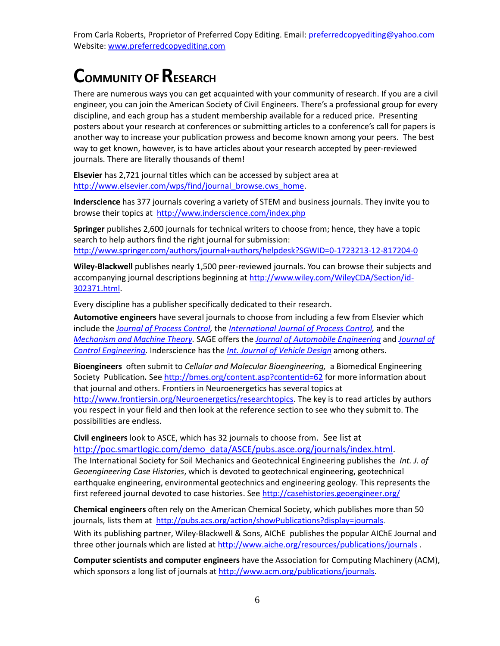## **COMMUNITY OFRESEARCH**

There are numerous ways you can get acquainted with your community of research. If you are a civil engineer, you can join the American Society of Civil Engineers. There's a professional group for every discipline, and each group has a student membership available for a reduced price. Presenting posters about your research at conferences or submitting articles to a conference's call for papers is another way to increase your publication prowess and become known among your peers. The best way to get known, however, is to have articles about your research accepted by peer-reviewed journals. There are literally thousands of them!

**Elsevier** has 2,721 journal titles which can be accessed by subject area at [http://www.elsevier.com/wps/find/journal\\_browse.cws\\_home.](http://www.elsevier.com/wps/find/journal_browse.cws_home)

**Inderscience** has 377 journals covering a variety of STEM and business journals. They invite you to browse their topics at <http://www.inderscience.com/index.php>

**Springer** publishes 2,600 journals for technical writers to choose from; hence, they have a topic search to help authors find the right journal for submission: <http://www.springer.com/authors/journal+authors/helpdesk?SGWID=0-1723213-12-817204-0>

**Wiley-Blackwell** publishes nearly 1,500 peer-reviewed journals. You can browse their subjects and accompanying journal descriptions beginning at [http://www.wiley.com/WileyCDA/Section/id-](http://www.wiley.com/WileyCDA/Section/id-302371.html)[302371.html.](http://www.wiley.com/WileyCDA/Section/id-302371.html)

Every discipline has a publisher specifically dedicated to their research.

**Automotive engineers** have several journals to choose from including a few from Elsevier which include the *[Journal of Process Control,](http://www.journals.elsevier.com/journal-of-process-control)* the *[International Journal of Process Control,](http://www.journals.elsevier.com/journal-of-process-control)* and the *[Mechanism and Machine Theory.](http://www.journals.elsevier.com/mechanism-and-machine-theory/)* SAGE offers the *[Journal of Automobile Engineering](http://pid.sagepub.com/)* and *[Journal of](http://pii.sagepub.com/)  [Control Engineering.](http://pii.sagepub.com/)* Inderscience has the *[Int. Journal of Vehicle Design](http://www.inderscience.com/jhome.php?jcode=ijvd)* among others.

**Bioengineers** often submit to *Cellular and Molecular Bioengineering,* a Biomedical Engineering Society Publication*.* See<http://bmes.org/content.asp?contentid=62>for more information about that journal and others. Frontiers in Neuroenergetics has several topics at [http://www.frontiersin.org/Neuroenergetics/researchtopics.](http://www.frontiersin.org/Neuroenergetics/researchtopics) The key is to read articles by authors you respect in your field and then look at the reference section to see who they submit to. The possibilities are endless.

**Civil engineers** look to ASCE, which has 32 journals to choose from. See list at [http://poc.smartlogic.com/demo\\_data/ASCE/pubs.asce.org/journals/index.html.](http://poc.smartlogic.com/demo_data/ASCE/pubs.asce.org/journals/index.html) The International Society for Soil Mechanics and Geotechnical Engineering publishes the *Int. J. of Geoengineering Case Histories*, which is devoted to geotechnical engineering, geotechnical earthquake engineering, environmental geotechnics and engineering geology. This represents the first refereed journal devoted to case histories. See<http://casehistories.geoengineer.org/>

**Chemical engineers** often rely on the American Chemical Society, which publishes more than 50 journals, lists them at [http://pubs.acs.org/action/showPublications?display=journals.](http://pubs.acs.org/action/showPublications?display=journals)

With its publishing partner, Wiley-Blackwell & Sons, AIChE publishes the popular AIChE Journal and three other journals which are listed a[t http://www.aiche.org/resources/publications/journals](http://www.aiche.org/resources/publications/journals) .

**Computer scientists and computer engineers** have the Association for Computing Machinery (ACM), which sponsors a long list of journals a[t http://www.acm.org/publications/journals.](http://www.acm.org/publications/journals)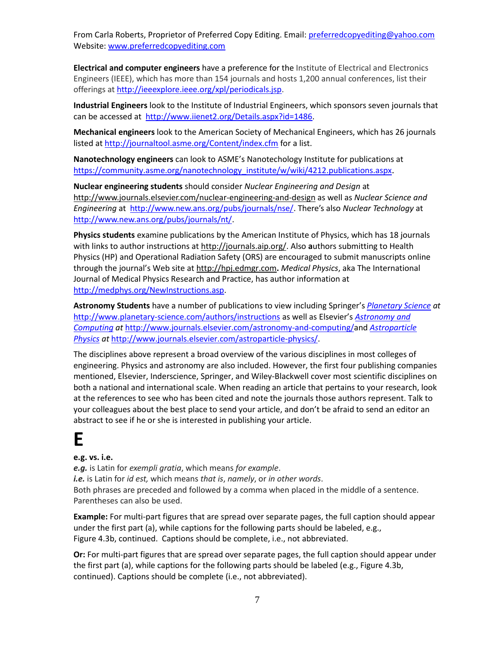**Electrical and computer engineers** have a preference for the Institute of Electrical and Electronics Engineers (IEEE), which has more than 154 journals and hosts 1,200 annual conferences, list their offerings at [http://ieeexplore.ieee.org/xpl/periodicals.jsp.](http://ieeexplore.ieee.org/xpl/periodicals.jsp)

**Industrial Engineers** look to the Institute of Industrial Engineers, which sponsors seven journals that can be accessed at [http://www.iienet2.org/Details.aspx?id=1486.](http://www.iienet2.org/Details.aspx?id=1486)

**Mechanical engineers** look to the American Society of Mechanical Engineers, which has 26 journals listed at<http://journaltool.asme.org/Content/index.cfm>for a list.

**Nanotechnology engineers** can look to ASME's Nanotechology Institute for publications at [https://community.asme.org/nanotechnology\\_institute/w/wiki/4212.publications.aspx](https://community.asme.org/nanotechnology_institute/w/wiki/4212.publications.aspx).

**Nuclear engineering students** should consider *Nuclear Engineering and Design* at [http://www.journals.elsevier.com/nuclear-engineering-and-design a](http://www.journals.elsevier.com/nuclear-engineering-and-design/)s well as *Nuclear Science and Engineering* at <http://www.new.ans.org/pubs/journals/nse/>. There's also *Nuclear Technology* at [http://www.new.ans.org/pubs/journals/nt/.](http://www.new.ans.org/pubs/journals/nt/)

**Physics students** examine publications by the American Institute of Physics, which has 18 journals with links to author instructions at [http://journals.aip.org/.](http://journals.aip.org/) Also **a**uthors submitting to Health Physics (HP) and Operational Radiation Safety (ORS) are encouraged to submit manuscripts online through the journal's Web site at [http://hpj.edmgr.com](http://hpj.edmgr.com/)**.** *Medical Physics*, aka The International Journal of Medical Physics Research and Practice, has author information at [http://medphys.org/NewInstructions.asp.](http://medphys.org/NewInstructions.asp)

**Astronomy Students** have a number of publications to view including Springer's *[Planetary Science](http://www.planetary-science.com/authors/instructions) at*  <http://www.planetary-science.com/authors/instructions>as well as Elsevier's *[Astronomy and](http://www.elsevier.com/journals/astronomy-and-computing/2213-1337/guide-for-authors)  [Computing](http://www.elsevier.com/journals/astronomy-and-computing/2213-1337/guide-for-authors) at* [http://www.journals.elsevier.com/astronomy-and-computing/a](http://www.journals.elsevier.com/astronomy-and-computing/)nd *[Astroparticle](http://www.elsevier.com/journals/astroparticle-physics/0927-6505/guide-for-authors)  [Physics](http://www.elsevier.com/journals/astroparticle-physics/0927-6505/guide-for-authors) at* [http://www.journals.elsevier.com/astroparticle-physics/.](http://www.journals.elsevier.com/astroparticle-physics/)

The disciplines above represent a broad overview of the various disciplines in most colleges of engineering. Physics and astronomy are also included. However, the first four publishing companies mentioned, Elsevier, Inderscience, Springer, and Wiley-Blackwell cover most scientific disciplines on both a national and international scale. When reading an article that pertains to your research, look at the references to see who has been cited and note the journals those authors represent. Talk to your colleagues about the best place to send your article, and don't be afraid to send an editor an abstract to see if he or she is interested in publishing your article.

### **E**

#### **e.g. vs. i.e.**

*e.g.* is Latin for *exempli gratia*, which means *for example*. *i.e.* is Latin for *id est,* which means *that is*, *namely*, or *in other words*. Both phrases are preceded and followed by a comma when placed in the middle of a sentence. Parentheses can also be used.

**Example:** For multi-part figures that are spread over separate pages, the full caption should appear under the first part (a), while captions for the following parts should be labeled, e.g., Figure 4.3b, continued. Captions should be complete, i.e., not abbreviated.

**Or:** For multi-part figures that are spread over separate pages, the full caption should appear under the first part (a), while captions for the following parts should be labeled (e.g., Figure 4.3b, continued). Captions should be complete (i.e., not abbreviated).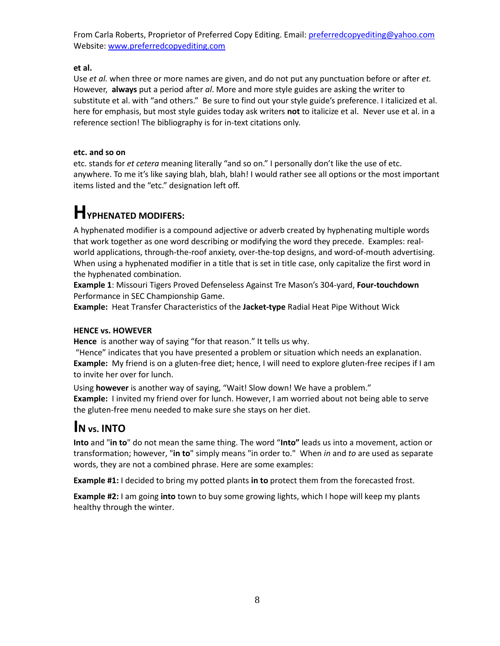**et al.** 

Use *et al.* when three or more names are given, and do not put any punctuation before or after *et.*  However, **always** put a period after *al*. More and more style guides are asking the writer to substitute et al. with "and others." Be sure to find out your style guide's preference. I italicized et al. here for emphasis, but most style guides today ask writers **not** to italicize et al. Never use et al. in a reference section! The bibliography is for in-text citations only.

#### **etc. and so on**

etc. stands for *et cetera* meaning literally "and so on." I personally don't like the use of etc. anywhere. To me it's like saying blah, blah, blah! I would rather see all options or the most important items listed and the "etc." designation left off.

## **HYPHENATED MODIFERS:**

A hyphenated modifier is a compound adjective or adverb created by hyphenating multiple words that work together as one word describing or modifying the word they precede. Examples: realworld applications, through-the-roof anxiety, over-the-top designs, and word-of-mouth advertising. When using a hyphenated modifier in a title that is set in title case, only capitalize the first word in the hyphenated combination.

**Example 1**: Missouri Tigers Proved Defenseless Against Tre Mason's 304-yard, **Four-touchdown** Performance in SEC Championship Game.

**Example:** Heat Transfer Characteristics of the **Jacket-type** Radial Heat Pipe Without Wick

#### **HENCE vs. HOWEVER**

**Hence** is another way of saying "for that reason." It tells us why.

"Hence" indicates that you have presented a problem or situation which needs an explanation. **Example:** My friend is on a gluten-free diet; hence, I will need to explore gluten-free recipes if I am to invite her over for lunch.

Using **however** is another way of saying, "Wait! Slow down! We have a problem." **Example:** I invited my friend over for lunch. However, I am worried about not being able to serve the gluten-free menu needed to make sure she stays on her diet.

### **I<sup>N</sup> vs. INTO**

**Into** and "**in to**" do not mean the same thing. The word "**Into"** leads us into a movement, action or transformation; however, "**in to**" simply means "in order to." When *in* and *to* are used as separate words, they are not a combined phrase. Here are some examples:

**Example #1:** I decided to bring my potted plants **in to** protect them from the forecasted frost.

**Example #2:** I am going **into** town to buy some growing lights, which I hope will keep my plants healthy through the winter.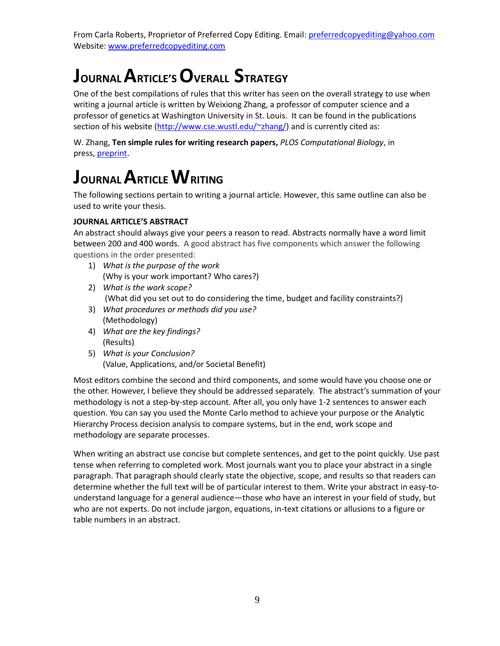# **JOURNAL ARTICLE'S OVERALL STRATEGY**

One of the best compilations of rules that this writer has seen on the overall strategy to use when writing a journal article is written by Weixiong Zhang, a professor of computer science and a professor of genetics at Washington University in St. Louis. It can be found in the publications section of his website [\(http://www.cse.wustl.edu/~zhang/\)](http://www.cse.wustl.edu/~zhang/) and is currently cited as:

W. Zhang, **Ten simple rules for writing research papers,** *PLOS Computational Biology*, in press, [preprint.](http://www.cse.wustl.edu/~zhang/publications/TenSimpleRulesForWritingPapers-Preprint.pdf)

## **JOURNAL ARTICLE WRITING**

The following sections pertain to writing a journal article. However, this same outline can also be used to write your thesis.

#### **JOURNAL ARTICLE'S ABSTRACT**

An abstract should always give your peers a reason to read. Abstracts normally have a word limit between 200 and 400 words. A good abstract has five components which answer the following questions in the order presented:

- 1) *What is the purpose of the work* (Why is your work important? Who cares?)
- 2) *What is the work scope?* (What did you set out to do considering the time, budget and facility constraints?)
- 3) *What procedures or methods did you use?* (Methodology)
- 4) *What are the key findings?*  (Results)
- 5) *What is your Conclusion?* (Value, Applications, and/or Societal Benefit)

Most editors combine the second and third components, and some would have you choose one or the other. However, I believe they should be addressed separately. The abstract's summation of your methodology is not a step-by-step account. After all, you only have 1-2 sentences to answer each question. You can say you used the Monte Carlo method to achieve your purpose or the Analytic Hierarchy Process decision analysis to compare systems, but in the end, work scope and methodology are separate processes.

When writing an abstract use concise but complete sentences, and get to the point quickly. Use past tense when referring to completed work. Most journals want you to place your abstract in a single paragraph. That paragraph should clearly state the objective, scope, and results so that readers can determine whether the full text will be of particular interest to them. Write your abstract in easy-tounderstand language for a general audience—those who have an interest in your field of study, but who are not experts. Do not include jargon, equations, in-text citations or allusions to a figure or table numbers in an abstract.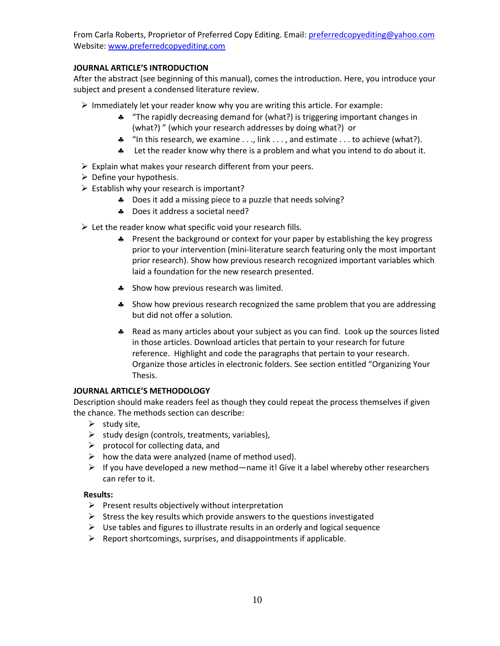#### **JOURNAL ARTICLE'S INTRODUCTION**

After the abstract (see beginning of this manual), comes the introduction. Here, you introduce your subject and present a condensed literature review.

- $\triangleright$  Immediately let your reader know why you are writing this article. For example:
	- "The rapidly decreasing demand for (what?) is triggering important changes in (what?) " (which your research addresses by doing what?) or
	- \* "In this research, we examine . . ., link . . ., and estimate . . . to achieve (what?).
	- Let the reader know why there is a problem and what you intend to do about it.
- $\triangleright$  Explain what makes your research different from your peers.
- $\triangleright$  Define your hypothesis.
- $\triangleright$  Establish why your research is important?
	- \* Does it add a missing piece to a puzzle that needs solving?
	- \* Does it address a societal need?
- $\triangleright$  Let the reader know what specific void your research fills.
	- \* Present the background or context for your paper by establishing the key progress prior to your intervention (mini-literature search featuring only the most important prior research). Show how previous research recognized important variables which laid a foundation for the new research presented.
	- **A** Show how previous research was limited.
	- \* Show how previous research recognized the same problem that you are addressing but did not offer a solution.
	- \* Read as many articles about your subject as you can find. Look up the sources listed in those articles. Download articles that pertain to your research for future reference. Highlight and code the paragraphs that pertain to your research. Organize those articles in electronic folders. See section entitled "Organizing Your Thesis.

#### **JOURNAL ARTICLE'S METHODOLOGY**

Description should make readers feel as though they could repeat the process themselves if given the chance. The methods section can describe:

- $\triangleright$  study site,
- $\triangleright$  study design (controls, treatments, variables),
- $\triangleright$  protocol for collecting data, and
- $\triangleright$  how the data were analyzed (name of method used).
- $\triangleright$  If you have developed a new method—name it! Give it a label whereby other researchers can refer to it.

#### **Results:**

- $\triangleright$  Present results objectively without interpretation
- $\triangleright$  Stress the key results which provide answers to the questions investigated
- $\triangleright$  Use tables and figures to illustrate results in an orderly and logical sequence
- $\triangleright$  Report shortcomings, surprises, and disappointments if applicable.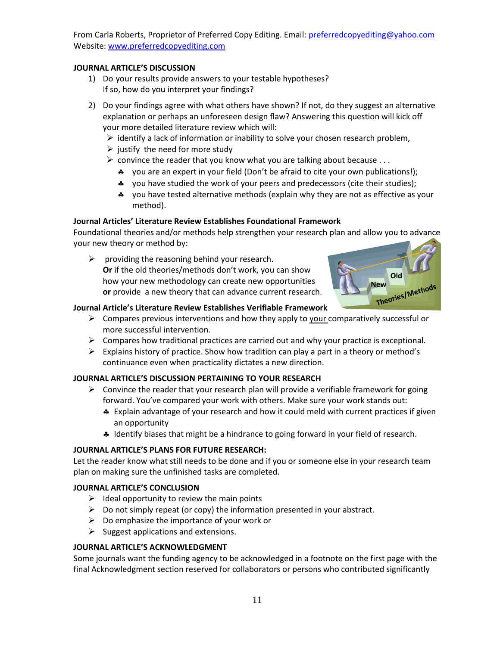#### **JOURNAL ARTICLE'S DISCUSSION**

- 1) Do your results provide answers to your testable hypotheses? If so, how do you interpret your findings?
- 2) Do your findings agree with what others have shown? If not, do they suggest an alternative explanation or perhaps an unforeseen design flaw? Answering this question will kick off your more detailed literature review which will:
	- $\triangleright$  identify a lack of information or inability to solve your chosen research problem,
	- $\triangleright$  justify the need for more study
	- $\triangleright$  convince the reader that you know what you are talking about because ...
		- \* you are an expert in your field (Don't be afraid to cite your own publications!);
		- \* you have studied the work of your peers and predecessors (cite their studies);
		- you have tested alternative methods (explain why they are not as effective as your method).

#### **Journal Articles' Literature Review Establishes Foundational Framework**

Foundational theories and/or methods help strengthen your research plan and allow you to advance your new theory or method by:

 $\triangleright$  providing the reasoning behind your research. **Or** if the old theories/methods don't work, you can show how your new methodology can create new opportunities **or** provide a new theory that can advance current research.



#### **Journal Article's Literature Review Establishes Verifiable Framework**

- $\triangleright$  Compares previous interventions and how they apply to your comparatively successful or more successful intervention.
- $\triangleright$  Compares how traditional practices are carried out and why your practice is exceptional.
- $\triangleright$  Explains history of practice. Show how tradition can play a part in a theory or method's continuance even when practicality dictates a new direction.

#### **JOURNAL ARTICLE'S DISCUSSION PERTAINING TO YOUR RESEARCH**

- $\triangleright$  Convince the reader that your research plan will provide a verifiable framework for going forward. You've compared your work with others. Make sure your work stands out:
	- Explain advantage of your research and how it could meld with current practices if given an opportunity
	- \* Identify biases that might be a hindrance to going forward in your field of research.

#### **JOURNAL ARTICLE'S PLANS FOR FUTURE RESEARCH:**

Let the reader know what still needs to be done and if you or someone else in your research team plan on making sure the unfinished tasks are completed.

#### **JOURNAL ARTICLE'S CONCLUSION**

- $\triangleright$  Ideal opportunity to review the main points
- $\triangleright$  Do not simply repeat (or copy) the information presented in your abstract.
- $\triangleright$  Do emphasize the importance of your work or
- $\triangleright$  Suggest applications and extensions.

#### **JOURNAL ARTICLE'S ACKNOWLEDGMENT**

Some journals want the funding agency to be acknowledged in a footnote on the first page with the final Acknowledgment section reserved for collaborators or persons who contributed significantly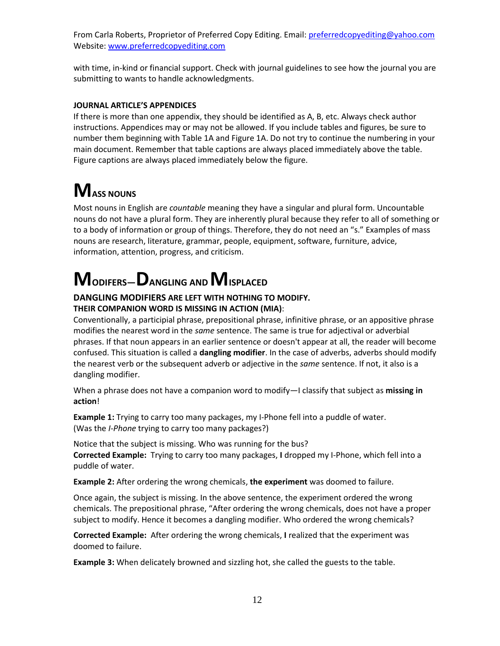with time, in-kind or financial support. Check with journal guidelines to see how the journal you are submitting to wants to handle acknowledgments.

#### **JOURNAL ARTICLE'S APPENDICES**

If there is more than one appendix, they should be identified as A, B, etc. Always check author instructions. Appendices may or may not be allowed. If you include tables and figures, be sure to number them beginning with Table 1A and Figure 1A. Do not try to continue the numbering in your main document. Remember that table captions are always placed immediately above the table. Figure captions are always placed immediately below the figure.

# $M$ **ASS NOUNS**

Most nouns in English are *countable* meaning they have a singular and plural form. Uncountable nouns do not have a plural form. They are inherently plural because they refer to all of something or to a body of information or group of things. Therefore, they do not need an "s." Examples of mass nouns are research, literature, grammar, people, equipment, software, furniture, advice, information, attention, progress, and criticism.

# **MODIFERS—DANGLING AND MISPLACED**

#### **DANGLING MODIFIERS ARE LEFT WITH NOTHING TO MODIFY. THEIR COMPANION WORD IS MISSING IN ACTION (MIA)**:

Conventionally, a participial phrase, prepositional phrase, infinitive phrase, or an appositive phrase modifies the nearest word in the *same* sentence. The same is true for adjectival or adverbial phrases. If that noun appears in an earlier sentence or doesn't appear at all, the reader will become confused. This situation is called a **dangling modifier**. In the case of adverbs, adverbs should modify the nearest verb or the subsequent adverb or adjective in the *same* sentence. If not, it also is a dangling modifier.

When a phrase does not have a companion word to modify—I classify that subject as **missing in action**!

**Example 1:** Trying to carry too many packages, my I-Phone fell into a puddle of water. (Was the *I-Phone* trying to carry too many packages?)

Notice that the subject is missing. Who was running for the bus? **Corrected Example:** Trying to carry too many packages, **I** dropped my I-Phone, which fell into a puddle of water.

**Example 2:** After ordering the wrong chemicals, **the experiment** was doomed to failure.

Once again, the subject is missing. In the above sentence, the experiment ordered the wrong chemicals. The prepositional phrase, "After ordering the wrong chemicals, does not have a proper subject to modify. Hence it becomes a dangling modifier. Who ordered the wrong chemicals?

**Corrected Example:** After ordering the wrong chemicals, **I** realized that the experiment was doomed to failure.

**Example 3:** When delicately browned and sizzling hot, she called the guests to the table.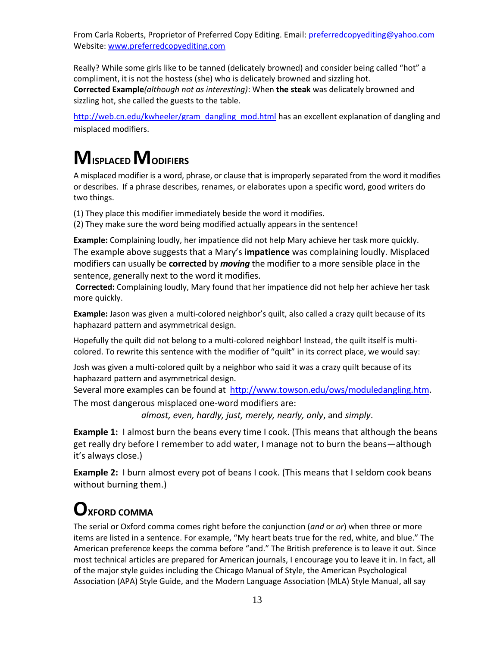Really? While some girls like to be tanned (delicately browned) and consider being called "hot" a compliment, it is not the hostess (she) who is delicately browned and sizzling hot. **Corrected Example***(although not as interesting)*: When **the steak** was delicately browned and sizzling hot, she called the guests to the table.

[http://web.cn.edu/kwheeler/gram\\_dangling\\_mod.html](http://web.cn.edu/kwheeler/gram_dangling_mod.html) has an excellent explanation of dangling and misplaced modifiers.

# **MISPLACED MODIFIERS**

A misplaced modifier is a word, phrase, or clause that is improperly separated from the word it modifies or describes. If a phrase describes, renames, or elaborates upon a specific word, good writers do two things.

(1) They place this modifier immediately beside the word it modifies.

(2) They make sure the word being modified actually appears in the sentence!

**Example:** Complaining loudly, her impatience did not help Mary achieve her task more quickly. The example above suggests that a Mary's **impatience** was complaining loudly. Misplaced modifiers can usually be **corrected** by *moving* the modifier to a more sensible place in the sentence, generally next to the word it modifies.

 **Corrected:** Complaining loudly, Mary found that her impatience did not help her achieve her task more quickly.

**Example:** Jason was given a multi-colored neighbor's quilt, also called a crazy quilt because of its haphazard pattern and asymmetrical design.

Hopefully the quilt did not belong to a multi-colored neighbor! Instead, the quilt itself is multicolored. To rewrite this sentence with the modifier of "quilt" in its correct place, we would say:

Josh was given a multi-colored quilt by a neighbor who said it was a crazy quilt because of its haphazard pattern and asymmetrical design.

Several more examples can be found at [http://www.towson.edu/ows/moduledangling.htm.](http://www.towson.edu/ows/moduledangling.htm) The most dangerous misplaced one-word modifiers are:

*almost, even, hardly, just, merely, nearly, only*, and *simply*.

**Example 1:** I almost burn the beans every time I cook. (This means that although the beans get really dry before I remember to add water, I manage not to burn the beans—although it's always close.)

**Example 2:** I burn almost every pot of beans I cook. (This means that I seldom cook beans without burning them.)

### **OXFORD COMMA**

The serial or Oxford comma comes right before the conjunction (*and* or *or*) when three or more items are listed in a sentence. For example, "My heart beats true for the red, white, and blue." The American preference keeps the comma before "and." The British preference is to leave it out. Since most technical articles are prepared for American journals, I encourage you to leave it in. In fact, all of the major style guides including the Chicago Manual of Style, the American Psychological Association (APA) Style Guide, and the Modern Language Association (MLA) Style Manual, all say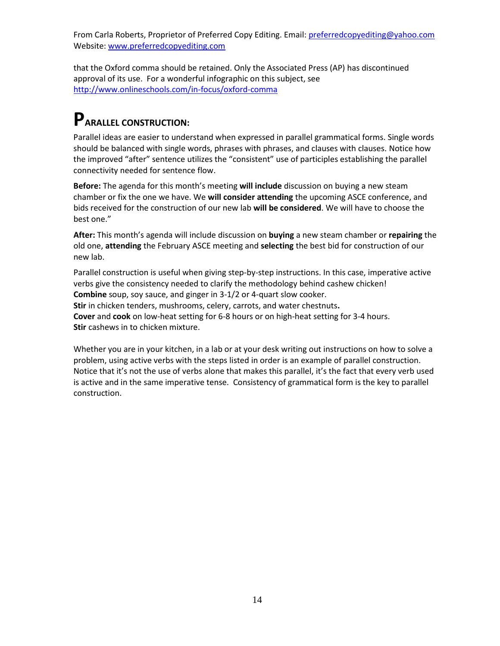that the Oxford comma should be retained. Only the Associated Press (AP) has discontinued approval of its use. For a wonderful infographic on this subject, see <http://www.onlineschools.com/in-focus/oxford-comma>

## **PARALLEL CONSTRUCTION:**

Parallel ideas are easier to understand when expressed in parallel grammatical forms. Single words should be balanced with single words, phrases with phrases, and clauses with clauses. Notice how the improved "after" sentence utilizes the "consistent" use of participles establishing the parallel connectivity needed for sentence flow.

**Before:** The agenda for this month's meeting **will include** discussion on buying a new steam chamber or fix the one we have. We **will consider attending** the upcoming ASCE conference, and bids received for the construction of our new lab **will be considered**. We will have to choose the best one."

**After:** This month's agenda will include discussion on **buying** a new steam chamber or **repairing** the old one, **attending** the February ASCE meeting and **selecting** the best bid for construction of our new lab.

Parallel construction is useful when giving step-by-step instructions. In this case, imperative active verbs give the consistency needed to clarify the methodology behind cashew chicken! **Combine** soup, soy sauce, and ginger in 3-1/2 or 4-quart slow cooker. **Stir** in chicken tenders, mushrooms, celery, carrots, and water chestnuts**. Cover** and **cook** on low-heat setting for 6-8 hours or on high-heat setting for 3-4 hours. **Stir** cashews in to chicken mixture.

Whether you are in your kitchen, in a lab or at your desk writing out instructions on how to solve a problem, using active verbs with the steps listed in order is an example of parallel construction. Notice that it's not the use of verbs alone that makes this parallel, it's the fact that every verb used is active and in the same imperative tense. Consistency of grammatical form is the key to parallel construction.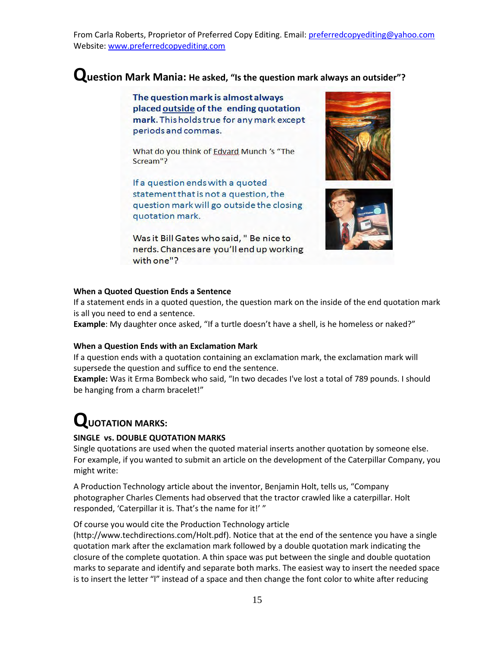#### **Question Mark Mania: He asked, "Is the question mark always an outsider"?**

The question mark is almost always placed outside of the ending quotation mark. This holds true for any mark except periods and commas.

What do you think of Edvard Munch 's "The Scream"?

If a question ends with a quoted statement that is not a question, the question mark will go outside the closing quotation mark.

Was it Bill Gates who said, " Be nice to nerds. Chances are you'll end up working with one"?





#### **When a Quoted Question Ends a Sentence**

If a statement ends in a quoted question, the question mark on the inside of the end quotation mark is all you need to end a sentence.

**Example**: My daughter once asked, "If a turtle doesn't have a shell, is he homeless or naked?"

#### **When a Question Ends with an Exclamation Mark**

If a question ends with a quotation containing an exclamation mark, the exclamation mark will supersede the question and suffice to end the sentence.

**Example:** Was it Erma Bombeck who said, "In two decades I've lost a total of 789 pounds. I should be hanging from a charm bracelet!"

### **QUOTATION MARKS:**

#### **SINGLE vs. DOUBLE QUOTATION MARKS**

Single quotations are used when the quoted material inserts another quotation by someone else. For example, if you wanted to submit an article on the development of the Caterpillar Company, you might write:

A [Production Technology](http://www.techdirections.com/Holt.pdf) article about the inventor, Benjamin Holt, tells us, "Company photographer Charles Clements had observed that the tractor crawled like a caterpillar. Holt responded, 'Caterpillar it is. That's the name for it!'"

Of course you would cite the Production Technology article

[\(http://www.techdirections.com/Holt.pdf\)](http://www.techdirections.com/Holt.pdf). Notice that at the end of the sentence you have a single quotation mark after the exclamation mark followed by a double quotation mark indicating the closure of the complete quotation. A thin space was put between the single and double quotation marks to separate and identify and separate both marks. The easiest way to insert the needed space is to insert the letter "l" instead of a space and then change the font color to white after reducing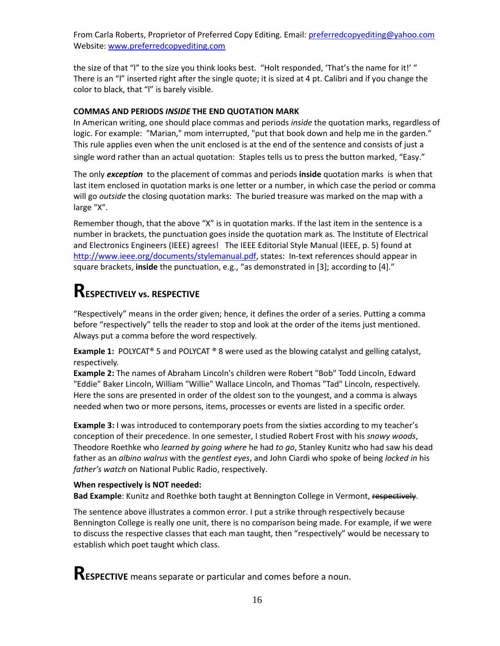the size of that "I" to the size you think looks best. "Holt responded, 'That's the name for it!'" There is an "l" inserted right after the single quote; it is sized at 4 pt. Calibri and if you change the color to black, that "l" is barely visible.

#### **COMMAS AND PERIODS** *INSIDE* **THE END QUOTATION MARK**

In American writing, one should place commas and periods *inside* the quotation marks, regardless of logic. For example:"Marian," mom interrupted, "put that book down and help me in the garden." This rule applies even when the unit enclosed is at the end of the sentence and consists of just a single word rather than an actual quotation: Staples tells us to press the button marked, "Easy."

The only *exception* to the placement of commas and periods **inside** quotation marks is when that last item enclosed in quotation marks is one letter or a number, in which case the period or comma will go *outside* the closing quotation marks: The buried treasure was marked on the map with a large "X".

Remember though, that the above "X" is in quotation marks. If the last item in the sentence is a number in brackets, the punctuation goes inside the quotation mark as. The Institute of Electrical and Electronics Engineers (IEEE) agrees! The IEEE Editorial Style Manual (IEEE, p. 5) found at [http://www.ieee.org/documents/stylemanual.pdf,](http://www.ieee.org/documents/stylemanual.pdf) states: In-text references should appear in square brackets, **inside** the punctuation, e.g., "as demonstrated in [3]; according to [4]."

### **RESPECTIVELY vs. RESPECTIVE**

"Respectively" means in the order given; hence, it defines the order of a series. Putting a comma before "respectively" tells the reader to stop and look at the order of the items just mentioned. Always put a comma before the word respectively.

**Example 1:** POLYCAT® 5 and POLYCAT ® 8 were used as the blowing catalyst and gelling catalyst, respectively.

**Example 2:** The names of Abraham Lincoln's children were Robert "Bob" Todd Lincoln, Edward "Eddie" Baker Lincoln, William "Willie" Wallace Lincoln, and Thomas "Tad" Lincoln, respectively. Here the sons are presented in order of the oldest son to the youngest, and a comma is always needed when two or more persons, items, processes or events are listed in a specific order.

**Example 3:** I was introduced to contemporary poets from the sixties according to my teacher's conception of their precedence. In one semester, I studied Robert Frost with his *snowy woods*, Theodore Roethke who *learned by going where* he had *to go*, Stanley Kunitz who had saw his dead father as an *albino walrus* with the *gentlest eyes*, and John Ciardi who spoke of being *locked in* his *father's watch* on National Public Radio, respectively.

#### **When respectively is NOT needed:**

**Bad Example**: Kunitz and Roethke both taught at Bennington College in Vermont, respectively.

The sentence above illustrates a common error. I put a strike through respectively because Bennington College is really one unit, there is no comparison being made. For example, if we were to discuss the respective classes that each man taught, then "respectively" would be necessary to establish which poet taught which class.

**RESPECTIVE** means separate or particular and comes before a noun.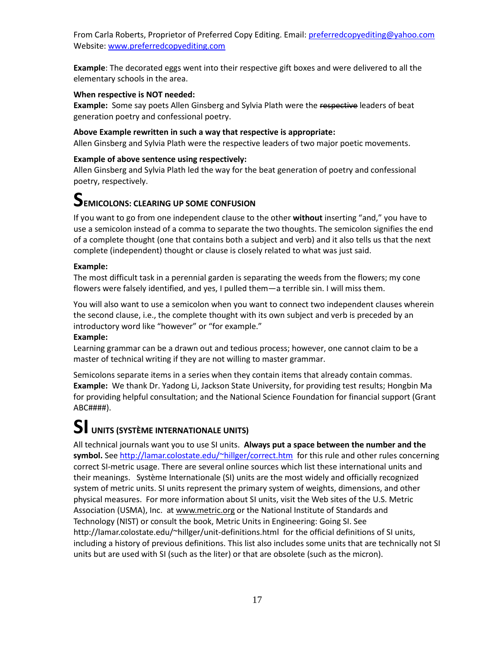**Example**: The decorated eggs went into their respective gift boxes and were delivered to all the elementary schools in the area.

#### **When respective is NOT needed:**

**Example:** Some say poets Allen Ginsberg and Sylvia Plath were the respective leaders of beat generation poetry and confessional poetry.

#### **Above Example rewritten in such a way that respective is appropriate:**

Allen Ginsberg and Sylvia Plath were the respective leaders of two major poetic movements.

#### **Example of above sentence using respectively:**

Allen Ginsberg and Sylvia Plath led the way for the beat generation of poetry and confessional poetry, respectively.

### **SEMICOLONS: CLEARING UP SOME CONFUSION**

If you want to go from one independent clause to the other **without** inserting "and," you have to use a semicolon instead of a comma to separate the two thoughts. The semicolon signifies the end of a complete thought (one that contains both a subject and verb) and it also tells us that the next complete (independent) thought or clause is closely related to what was just said.

#### **Example:**

The most difficult task in a perennial garden is separating the weeds from the flowers; my cone flowers were falsely identified, and yes, I pulled them—a terrible sin. I will miss them.

You will also want to use a semicolon when you want to connect two independent clauses wherein the second clause, i.e., the complete thought with its own subject and verb is preceded by an introductory word like "however" or "for example."

#### **Example:**

Learning grammar can be a drawn out and tedious process; however, one cannot claim to be a master of technical writing if they are not willing to master grammar.

Semicolons separate items in a series when they contain items that already contain commas. **Example:** We thank Dr. Yadong Li, Jackson State University, for providing test results; Hongbin Ma for providing helpful consultation; and the National Science Foundation for financial support (Grant ABC####).

## **SI UNITS (SYSTÈME INTERNATIONALE UNITS)**

All technical journals want you to use SI units. **Always put a space between the number and the symbol.** See<http://lamar.colostate.edu/~hillger/correct.htm>for this rule and other rules concerning correct SI-metric usage. There are several online sources which list these international units and their meanings. Système Internationale (SI) units are the most widely and officially recognized system of metric units. SI units represent the primary system of weights, dimensions, and other physical measures. For more information about SI units, visit the Web sites of th[e U.S. Metric](http://lamar.colostate.edu/~hillger/)  [Association](http://lamar.colostate.edu/~hillger/) (USMA), Inc. a[t www.metric.org](http://www.metric.org/) or the National Institute of Standards and [Technology \(](http://physics.nist.gov/cuu/Units/index.html)NIST) or consult the book, Metric Units in Engineering: Going SI. See <http://lamar.colostate.edu/~hillger/unit-definitions.html>for the official definitions of SI units, including a history of previous definitions. This list also includes some units that are technically not SI units but are used with SI (such as the liter) or that are obsolete (such as the micron).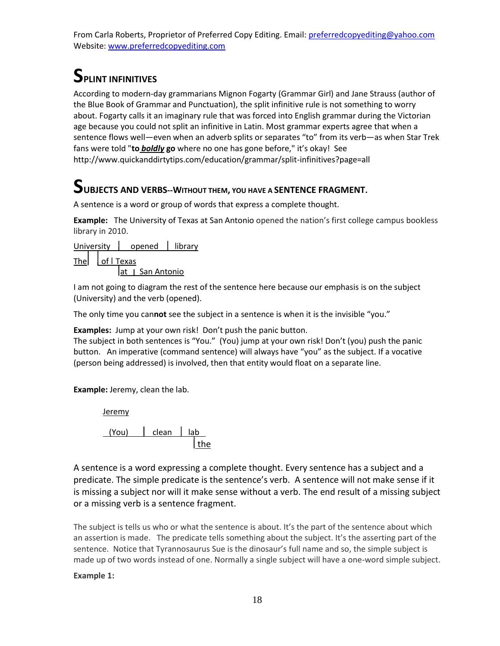### **SPLINT INFINITIVES**

According to modern-day grammarians Mignon Fogarty (Grammar Girl) and Jane Strauss (author of the Blue Book of Grammar and Punctuation), the split infinitive rule is not something to worry about. Fogarty calls it an imaginary rule that was forced into English grammar during the Victorian age because you could not split an infinitive in Latin. Most grammar experts agree that when a sentence flows well—even when an adverb splits or separates "to" from its verb—as when Star Trek fans were told "**to** *boldly* **go** where no one has gone before," it's okay! See http://www.quickanddirtytips.com/education/grammar/split-infinitives?page=all

## $\sum$ **UBJECTS AND VERBS--WITHOUT THEM, YOU HAVE A SENTENCE FRAGMENT.**

A sentence is a word or group of words that express a complete thought.

**Example:** The University of Texas at San Antonio opened the nation's first college campus bookless library in 2010.

University | opened | library

 $The$  | of  $\overline{I}$  Texas

 $at \,$  San Antonio

I am not going to diagram the rest of the sentence here because our emphasis is on the subject (University) and the verb (opened).

The only time you can**not** see the subject in a sentence is when it is the invisible "you."

**Examples:** Jump at your own risk! Don't push the panic button.

The subject in both sentences is "You." (You) jump at your own risk! Don't (you) push the panic button. An imperative (command sentence) will always have "you" as the subject. If a vocative (person being addressed) is involved, then that entity would float on a separate line.

**Example:** Jeremy, clean the lab.

**Jeremy** 

*(You)* clean lab the contract of the state of the state of the state of the state of the state of the state of the state of the

A sentence is a word expressing a complete thought. Every sentence has a subject and a predicate. The simple predicate is the sentence's verb. A sentence will not make sense if it is missing a subject nor will it make sense without a verb. The end result of a missing subject or a missing verb is a sentence fragment.

The subject is tells us who or what the sentence is about. It's the part of the sentence about which an assertion is made. The predicate tells something about the subject. It's the asserting part of the sentence. Notice that Tyrannosaurus Sue is the dinosaur's full name and so, the simple subject is made up of two words instead of one. Normally a single subject will have a one-word simple subject.

**Example 1:**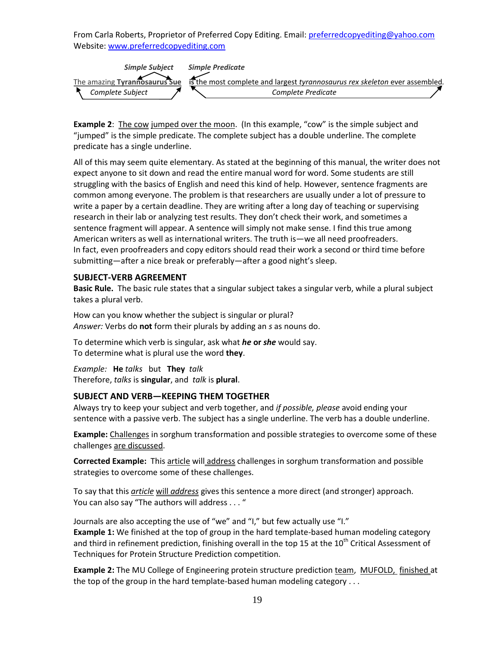

**Example 2**: The cow jumped over the moon. (In this example, "cow" is the simple subject and "jumped" is the simple predicate. The complete subject has a double underline. The complete predicate has a single underline.

All of this may seem quite elementary. As stated at the beginning of this manual, the writer does not expect anyone to sit down and read the entire manual word for word. Some students are still struggling with the basics of English and need this kind of help. However, sentence fragments are common among everyone. The problem is that researchers are usually under a lot of pressure to write a paper by a certain deadline. They are writing after a long day of teaching or supervising research in their lab or analyzing test results. They don't check their work, and sometimes a sentence fragment will appear. A sentence will simply not make sense. I find this true among American writers as well as international writers. The truth is—we all need proofreaders. In fact, even proofreaders and copy editors should read their work a second or third time before submitting—after a nice break or preferably—after a good night's sleep.

#### **SUBJECT-VERB AGREEMENT**

**Basic Rule.** The basic rule states that a singular subject takes a singular verb, while a plural subject takes a plural verb.

How can you know whether the subject is singular or plural? *Answer:* Verbs do **not** form their plurals by adding an *s* as nouns do.

To determine which verb is singular, ask what *he* **or** *she* would say. To determine what is plural use the word **they**.

*Example:* **He** *talks* but **They** *talk* Therefore, *talks* is **singular**, and *talk* is **plural**.

#### **SUBJECT AND VERB—KEEPING THEM TOGETHER**

Always try to keep your subject and verb together, and *if possible, please* avoid ending your sentence with a passive verb. The subject has a single underline. The verb has a double underline.

**Example:** Challenges in sorghum transformation and possible strategies to overcome some of these challenges are discussed.

**Corrected Example:** This article will address challenges in sorghum transformation and possible strategies to overcome some of these challenges.

To say that this *article* will *address* gives this sentence a more direct (and stronger) approach. You can also say "The authors will address . . . "

Journals are also accepting the use of "we" and "I," but few actually use "I." **Example 1:** We finished at the top of group in the hard template-based human modeling category and third in refinement prediction, finishing overall in the top 15 at the  $10^{th}$  Critical Assessment of Techniques for Protein Structure Prediction competition.

**Example 2:** The MU College of Engineering protein structure prediction team, MUFOLD, finished at the top of the group in the hard template-based human modeling category . . .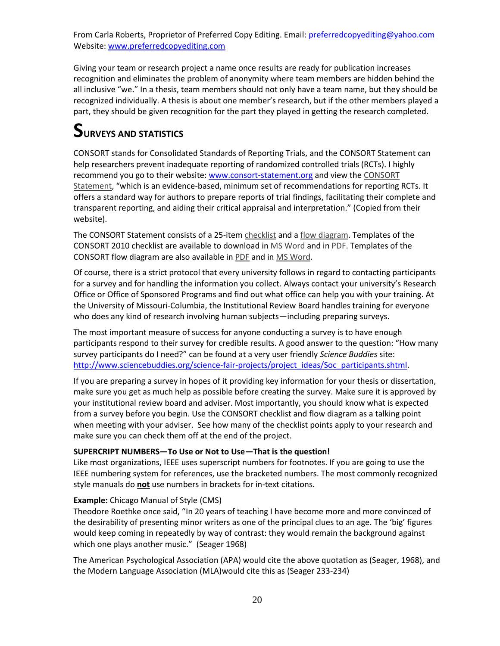Giving your team or research project a name once results are ready for publication increases recognition and eliminates the problem of anonymity where team members are hidden behind the all inclusive "we." In a thesis, team members should not only have a team name, but they should be recognized individually. A thesis is about one member's research, but if the other members played a part, they should be given recognition for the part they played in getting the research completed.

### **SURVEYS AND STATISTICS**

CONSORT stands for Consolidated Standards of Reporting Trials, and the CONSORT Statement can help researchers prevent inadequate reporting of randomized controlled trials (RCTs). I highly recommend you go to their website[: www.consort-statement.org](http://www.consort-statement.org/) and view th[e CONSORT](http://www.consort-statement.org/consort-statement/overview0/)  [Statement,](http://www.consort-statement.org/consort-statement/overview0/) "which is an evidence-based, minimum set of recommendations for reporting RCTs. It offers a standard way for authors to prepare reports of trial findings, facilitating their complete and transparent reporting, and aiding their critical appraisal and interpretation." (Copied from their website).

The CONSORT Statement consists of a 25-ite[m checklist](http://www.consort-statement.org/consort-statement/overview0/#checklist) and [a flow diagram.](http://www.consort-statement.org/consort-statement/overview0/#flow) Templates of the CONSORT 2010 checklist are available to download in [MS Word](http://www.consort-statement.org/index.aspx?o=2964) and in [PDF.](http://www.consort-statement.org/index.aspx?o=2965) Templates of the CONSORT flow diagram are also available in [PDF](http://www.consort-statement.org/index.aspx?o=2967) and in [MS Word.](http://www.consort-statement.org/index.aspx?o=2966)

Of course, there is a strict protocol that every university follows in regard to contacting participants for a survey and for handling the information you collect. Always contact your university's Research Office or Office of Sponsored Programs and find out what office can help you with your training. At the University of Missouri-Columbia, the Institutional Review Board handles training for everyone who does any kind of research involving human subjects—including preparing surveys.

The most important measure of success for anyone conducting a survey is to have enough participants respond to their survey for credible results. A good answer to the question: "How many survey participants do I need?" can be found at a very user friendly *Science Buddies* site: [http://www.sciencebuddies.org/science-fair-projects/project\\_ideas/Soc\\_participants.shtml.](http://www.sciencebuddies.org/science-fair-projects/project_ideas/Soc_participants.shtml)

If you are preparing a survey in hopes of it providing key information for your thesis or dissertation, make sure you get as much help as possible before creating the survey. Make sure it is approved by your institutional review board and adviser. Most importantly, you should know what is expected from a survey before you begin. Use the CONSORT checklist and flow diagram as a talking point when meeting with your adviser. See how many of the checklist points apply to your research and make sure you can check them off at the end of the project.

#### **SUPERCRIPT NUMBERS—To Use or Not to Use—That is the question!**

Like most organizations, IEEE uses superscript numbers for footnotes. If you are going to use the IEEE numbering system for references, use the bracketed numbers. The most commonly recognized style manuals do **not** use numbers in brackets for in-text citations.

#### **Example:** Chicago Manual of Style (CMS)

Theodore Roethke once said, "In 20 years of teaching I have become more and more convinced of the desirability of presenting minor writers as one of the principal clues to an age. The 'big' figures would keep coming in repeatedly by way of contrast: they would remain the background against which one plays another music." (Seager 1968)

The American Psychological Association (APA) would cite the above quotation as (Seager, 1968), and the Modern Language Association (MLA)would cite this as (Seager 233-234)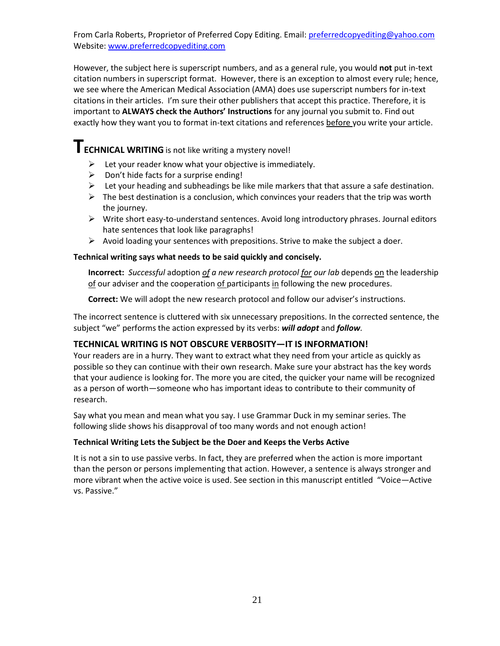However, the subject here is superscript numbers, and as a general rule, you would **not** put in-text citation numbers in superscript format. However, there is an exception to almost every rule; hence, we see where the American Medical Association (AMA) does use superscript numbers for in-text citations in their articles. I'm sure their other publishers that accept this practice. Therefore, it is important to **ALWAYS check the Authors' Instructions** for any journal you submit to. Find out exactly how they want you to format in-text citations and references before you write your article.

### **TECHNICAL WRITING** is not like writing a mystery novel!

- $\triangleright$  Let your reader know what your objective is immediately.
- $\triangleright$  Don't hide facts for a surprise ending!
- $\triangleright$  Let your heading and subheadings be like mile markers that that assure a safe destination.
- $\triangleright$  The best destination is a conclusion, which convinces your readers that the trip was worth the journey.
- $\triangleright$  Write short easy-to-understand sentences. Avoid long introductory phrases. Journal editors hate sentences that look like paragraphs!
- $\triangleright$  Avoid loading your sentences with prepositions. Strive to make the subject a doer.

#### **Technical writing says what needs to be said quickly and concisely.**

**Incorrect:** *Successful* adoption *of a new research protocol for our lab* depends on the leadership of our adviser and the cooperation of participants in following the new procedures.

**Correct:** We will adopt the new research protocol and follow our adviser's instructions.

The incorrect sentence is cluttered with six unnecessary prepositions. In the corrected sentence, the subject "we" performs the action expressed by its verbs: *will adopt* and *follow.* 

#### **TECHNICAL WRITING IS NOT OBSCURE VERBOSITY—IT IS INFORMATION!**

Your readers are in a hurry. They want to extract what they need from your article as quickly as possible so they can continue with their own research. Make sure your abstract has the key words that your audience is looking for. The more you are cited, the quicker your name will be recognized as a person of worth—someone who has important ideas to contribute to their community of research.

Say what you mean and mean what you say. I use Grammar Duck in my seminar series. The following slide shows his disapproval of too many words and not enough action!

#### **Technical Writing Lets the Subject be the Doer and Keeps the Verbs Active**

It is not a sin to use passive verbs. In fact, they are preferred when the action is more important than the person or persons implementing that action. However, a sentence is always stronger and more vibrant when the active voice is used. See section in this manuscript entitled "Voice—Active vs. Passive."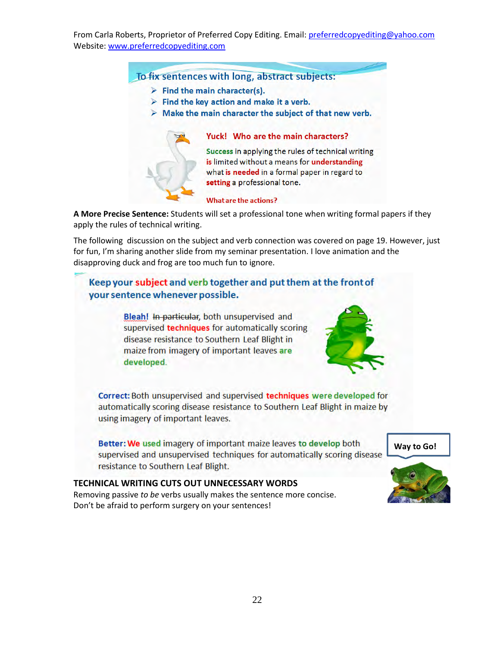To fix sentences with long, abstract subjects:

- $\triangleright$  Find the main character(s).
- $\triangleright$  Find the key action and make it a verb.
- $\triangleright$  Make the main character the subject of that new verb.



#### Yuck! Who are the main characters?

Success in applying the rules of technical writing is limited without a means for understanding what is needed in a formal paper in regard to setting a professional tone.

#### **What are the actions?**

**A More Precise Sentence:** Students will set a professional tone when writing formal papers if they apply the rules of technical writing.

The following discussion on the subject and verb connection was covered on page 19. However, just for fun, I'm sharing another slide from my seminar presentation. I love animation and the disapproving duck and frog are too much fun to ignore.

#### Keep your subject and verb together and put them at the front of your sentence whenever possible.

Bleah! In particular, both unsupervised and supervised techniques for automatically scoring disease resistance to Southern Leaf Blight in maize from imagery of important leaves are developed.



Correct: Both unsupervised and supervised techniques were developed for automatically scoring disease resistance to Southern Leaf Blight in maize by using imagery of important leaves.

Better: We used imagery of important maize leaves to develop both supervised and unsupervised techniques for automatically scoring disease resistance to Southern Leaf Blight.

**TECHNICAL WRITING CUTS OUT UNNECESSARY WORDS**  Removing passive *to be* verbs usually makes the sentence more concise. Don't be afraid to perform surgery on your sentences!

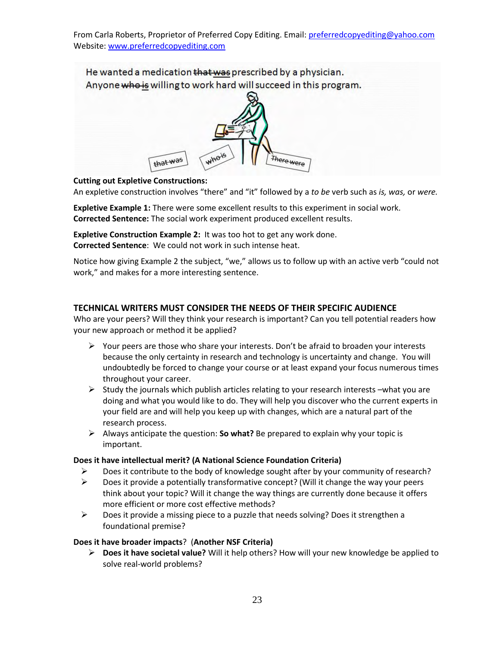

#### **Cutting out Expletive Constructions:**

An expletive construction involves "there" and "it" followed by a *to be* verb such as *is, was,* or *were.* 

**Expletive Example 1:** There were some excellent results to this experiment in social work. **Corrected Sentence:** The social work experiment produced excellent results.

**Expletive Construction Example 2:** It was too hot to get any work done. **Corrected Sentence**: We could not work in such intense heat.

Notice how giving Example 2 the subject, "we," allows us to follow up with an active verb "could not work," and makes for a more interesting sentence.

#### **TECHNICAL WRITERS MUST CONSIDER THE NEEDS OF THEIR SPECIFIC AUDIENCE**

Who are your peers? Will they think your research is important? Can you tell potential readers how your new approach or method it be applied?

- $\triangleright$  Your peers are those who share your interests. Don't be afraid to broaden your interests because the only certainty in research and technology is uncertainty and change. You will undoubtedly be forced to change your course or at least expand your focus numerous times throughout your career.
- $\triangleright$  Study the journals which publish articles relating to your research interests –what you are doing and what you would like to do. They will help you discover who the current experts in your field are and will help you keep up with changes, which are a natural part of the research process.
- Always anticipate the question: **So what?** Be prepared to explain why your topic is important.

#### **Does it have intellectual merit? (A National Science Foundation Criteria)**

- $\triangleright$  Does it contribute to the body of knowledge sought after by your community of research?
- $\triangleright$  Does it provide a potentially transformative concept? (Will it change the way your peers think about your topic? Will it change the way things are currently done because it offers more efficient or more cost effective methods?
- $\triangleright$  Does it provide a missing piece to a puzzle that needs solving? Does it strengthen a foundational premise?

#### **Does it have broader impacts**? (**Another NSF Criteria)**

 **Does it have societal value?** Will it help others? How will your new knowledge be applied to solve real-world problems?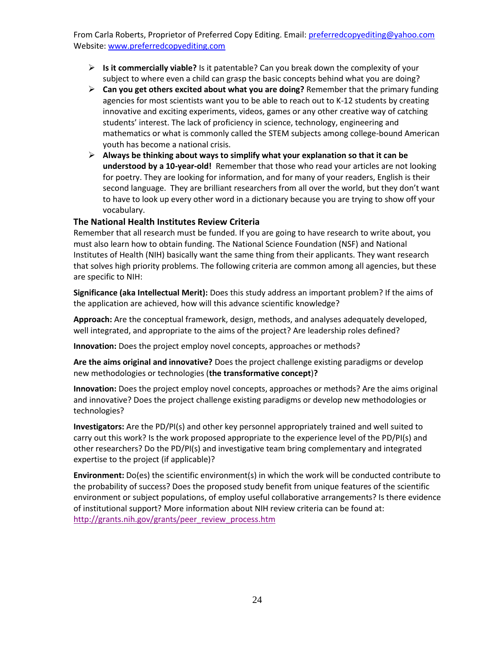- **Is it commercially viable?** Is it patentable? Can you break down the complexity of your subject to where even a child can grasp the basic concepts behind what you are doing?
- **Can you get others excited about what you are doing?** Remember that the primary funding agencies for most scientists want you to be able to reach out to K-12 students by creating innovative and exciting experiments, videos, games or any other creative way of catching students' interest. The lack of proficiency in science, technology, engineering and mathematics or what is commonly called the STEM subjects among college-bound American youth has become a national crisis.
- **Always be thinking about ways to simplify what your explanation so that it can be understood by a 10-year-old!** Remember that those who read your articles are not looking for poetry. They are looking for information, and for many of your readers, English is their second language. They are brilliant researchers from all over the world, but they don't want to have to look up every other word in a dictionary because you are trying to show off your vocabulary.

#### **The National Health Institutes Review Criteria**

Remember that all research must be funded. If you are going to have research to write about, you must also learn how to obtain funding. The National Science Foundation (NSF) and National Institutes of Health (NIH) basically want the same thing from their applicants. They want research that solves high priority problems. The following criteria are common among all agencies, but these are specific to NIH:

**Significance (aka Intellectual Merit):** Does this study address an important problem? If the aims of the application are achieved, how will this advance scientific knowledge?

**Approach:** Are the conceptual framework, design, methods, and analyses adequately developed, well integrated, and appropriate to the aims of the project? Are leadership roles defined?

**Innovation:** Does the project employ novel concepts, approaches or methods?

**Are the aims original and innovative?** Does the project challenge existing paradigms or develop new methodologies or technologies (**the transformative concept**)**?** 

**Innovation:** Does the project employ novel concepts, approaches or methods? Are the aims original and innovative? Does the project challenge existing paradigms or develop new methodologies or technologies?

**Investigators:** Are the PD/PI(s) and other key personnel appropriately trained and well suited to carry out this work? Is the work proposed appropriate to the experience level of the PD/PI(s) and other researchers? Do the PD/PI(s) and investigative team bring complementary and integrated expertise to the project (if applicable)?

**Environment:** Do(es) the scientific environment(s) in which the work will be conducted contribute to the probability of success? Does the proposed study benefit from unique features of the scientific environment or subject populations, of employ useful collaborative arrangements? Is there evidence of institutional support? More information about NIH review criteria can be found at: [http://grants.nih.gov/grants/peer\\_review\\_process.htm](http://grants.nih.gov/grants/peer_review_process.htm)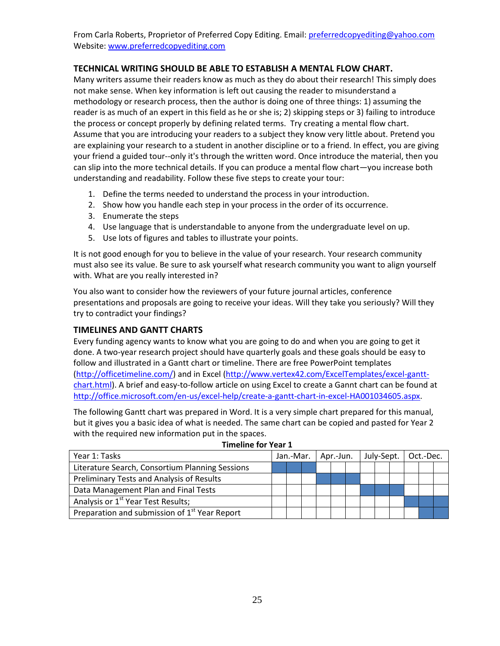#### **TECHNICAL WRITING SHOULD BE ABLE TO ESTABLISH A MENTAL FLOW CHART.**

Many writers assume their readers know as much as they do about their research! This simply does not make sense. When key information is left out causing the reader to misunderstand a methodology or research process, then the author is doing one of three things: 1) assuming the reader is as much of an expert in this field as he or she is; 2) skipping steps or 3) failing to introduce the process or concept properly by defining related terms. Try creating a mental flow chart. Assume that you are introducing your readers to a subject they know very little about. Pretend you are explaining your research to a student in another discipline or to a friend. In effect, you are giving your friend a guided tour--only it's through the written word. Once introduce the material, then you can slip into the more technical details. If you can produce a mental flow chart—you increase both understanding and readability. Follow these five steps to create your tour:

- 1. Define the terms needed to understand the process in your introduction.
- 2. Show how you handle each step in your process in the order of its occurrence.
- 3. Enumerate the steps
- 4. Use language that is understandable to anyone from the undergraduate level on up.
- 5. Use lots of figures and tables to illustrate your points.

It is not good enough for you to believe in the value of your research. Your research community must also see its value. Be sure to ask yourself what research community you want to align yourself with. What are you really interested in?

You also want to consider how the reviewers of your future journal articles, conference presentations and proposals are going to receive your ideas. Will they take you seriously? Will they try to contradict your findings?

#### **TIMELINES AND GANTT CHARTS**

Every funding agency wants to know what you are going to do and when you are going to get it done. A two-year research project should have quarterly goals and these goals should be easy to follow and illustrated in a Gantt chart or timeline. There are free PowerPoint templates [\(http://officetimeline.com/\)](http://officetimeline.com/) and in Excel [\(http://www.vertex42.com/ExcelTemplates/excel-gantt](http://www.vertex42.com/ExcelTemplates/excel-gantt-chart.html)[chart.html\)](http://www.vertex42.com/ExcelTemplates/excel-gantt-chart.html). A brief and easy-to-follow article on using Excel to create a Gannt chart can be found at [http://office.microsoft.com/en-us/excel-help/create-a-gantt-chart-in-excel-HA001034605.aspx.](http://office.microsoft.com/en-us/excel-help/create-a-gantt-chart-in-excel-HA001034605.aspx)

The following Gantt chart was prepared in Word. It is a very simple chart prepared for this manual, but it gives you a basic idea of what is needed. The same chart can be copied and pasted for Year 2 with the required new information put in the spaces.

| Year 1: Tasks                                             |  |  |  | Jan.-Mar.   Apr.-Jun. |  |  | July-Sept. |  |  | Oct.-Dec. |  |  |  |
|-----------------------------------------------------------|--|--|--|-----------------------|--|--|------------|--|--|-----------|--|--|--|
| Literature Search, Consortium Planning Sessions           |  |  |  |                       |  |  |            |  |  |           |  |  |  |
| <b>Preliminary Tests and Analysis of Results</b>          |  |  |  |                       |  |  |            |  |  |           |  |  |  |
| Data Management Plan and Final Tests                      |  |  |  |                       |  |  |            |  |  |           |  |  |  |
| Analysis or 1 <sup>st</sup> Year Test Results;            |  |  |  |                       |  |  |            |  |  |           |  |  |  |
| Preparation and submission of 1 <sup>st</sup> Year Report |  |  |  |                       |  |  |            |  |  |           |  |  |  |

#### **Timeline for Year 1**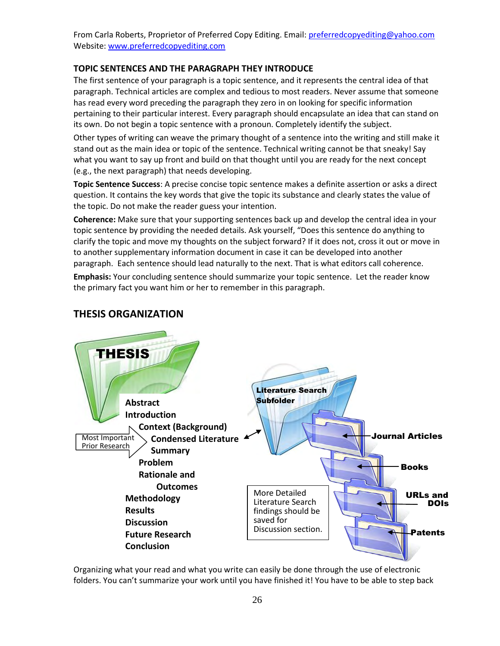#### **TOPIC SENTENCES AND THE PARAGRAPH THEY INTRODUCE**

The first sentence of your paragraph is a topic sentence, and it represents the central idea of that paragraph. Technical articles are complex and tedious to most readers. Never assume that someone has read every word preceding the paragraph they zero in on looking for specific information pertaining to their particular interest. Every paragraph should encapsulate an idea that can stand on its own. Do not begin a topic sentence with a pronoun. Completely identify the subject.

Other types of writing can weave the primary thought of a sentence into the writing and still make it stand out as the main idea or topic of the sentence. Technical writing cannot be that sneaky! Say what you want to say up front and build on that thought until you are ready for the next concept (e.g., the next paragraph) that needs developing.

**Topic Sentence Success**: A precise concise topic sentence makes a definite assertion or asks a direct question. It contains the key words that give the topic its substance and clearly states the value of the topic. Do not make the reader guess your intention.

**Coherence:** Make sure that your supporting sentences back up and develop the central idea in your topic sentence by providing the needed details. Ask yourself, "Does this sentence do anything to clarify the topic and move my thoughts on the subject forward? If it does not, cross it out or move in to another supplementary information document in case it can be developed into another paragraph. Each sentence should lead naturally to the next. That is what editors call coherence.

**Emphasis:** Your concluding sentence should summarize your topic sentence. Let the reader know the primary fact you want him or her to remember in this paragraph.



#### **THESIS ORGANIZATION**

Organizing what your read and what you write can easily be done through the use of electronic folders. You can't summarize your work until you have finished it! You have to be able to step back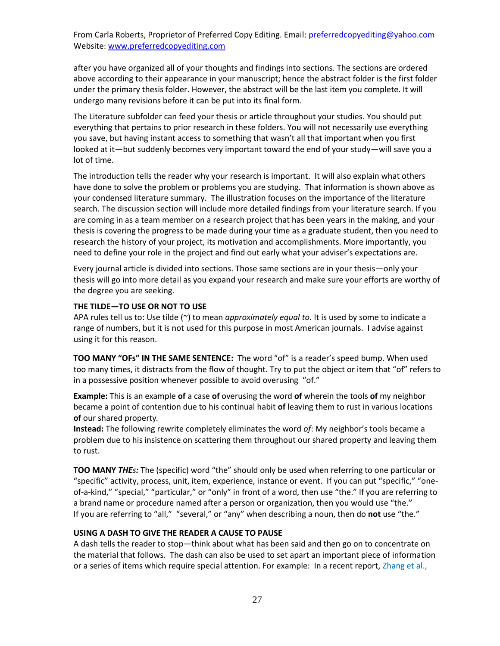after you have organized all of your thoughts and findings into sections. The sections are ordered above according to their appearance in your manuscript; hence the abstract folder is the first folder under the primary thesis folder. However, the abstract will be the last item you complete. It will undergo many revisions before it can be put into its final form.

The Literature subfolder can feed your thesis or article throughout your studies. You should put everything that pertains to prior research in these folders. You will not necessarily use everything you save, but having instant access to something that wasn't all that important when you first looked at it—but suddenly becomes very important toward the end of your study—will save you a lot of time.

The introduction tells the reader why your research is important. It will also explain what others have done to solve the problem or problems you are studying. That information is shown above as your condensed literature summary. The illustration focuses on the importance of the literature search. The discussion section will include more detailed findings from your literature search. If you are coming in as a team member on a research project that has been years in the making, and your thesis is covering the progress to be made during your time as a graduate student, then you need to research the history of your project, its motivation and accomplishments. More importantly, you need to define your role in the project and find out early what your adviser's expectations are.

Every journal article is divided into sections. Those same sections are in your thesis—only your thesis will go into more detail as you expand your research and make sure your efforts are worthy of the degree you are seeking.

#### **THE TILDE—TO USE OR NOT TO USE**

APA rules tell us to: Use tilde (~) to mean *approximately equal to*. It is used by some to indicate a range of numbers, but it is not used for this purpose in most American journals. I advise against using it for this reason.

**TOO MANY "OFs" IN THE SAME SENTENCE:** The word "of" is a reader's speed bump. When used too many times, it distracts from the flow of thought. Try to put the object or item that "of" refers to in a possessive position whenever possible to avoid overusing "of."

**Example:** This is an example **of** a case **of** overusing the word **of** wherein the tools **of** my neighbor became a point of contention due to his continual habit **of** leaving them to rust in various locations **of** our shared property.

**Instead:** The following rewrite completely eliminates the word *of*: My neighbor's tools became a problem due to his insistence on scattering them throughout our shared property and leaving them to rust.

**TOO MANY** *THEs:* The (specific) word "the" should only be used when referring to one particular or "specific" activity, process, unit, item, experience, instance or event. If you can put "specific," "oneof-a-kind," "special," "particular," or "only" in front of a word, then use "the." If you are referring to a brand name or procedure named after a person or organization, then you would use "the." If you are referring to "all," "several," or "any" when describing a noun, then do **not** use "the."

#### **USING A DASH TO GIVE THE READER A CAUSE TO PAUSE**

A dash tells the reader to stop—think about what has been said and then go on to concentrate on the material that follows. The dash can also be used to set apart an important piece of information or a series of items which require special attention. For example: In a recent report, Zhang et al.,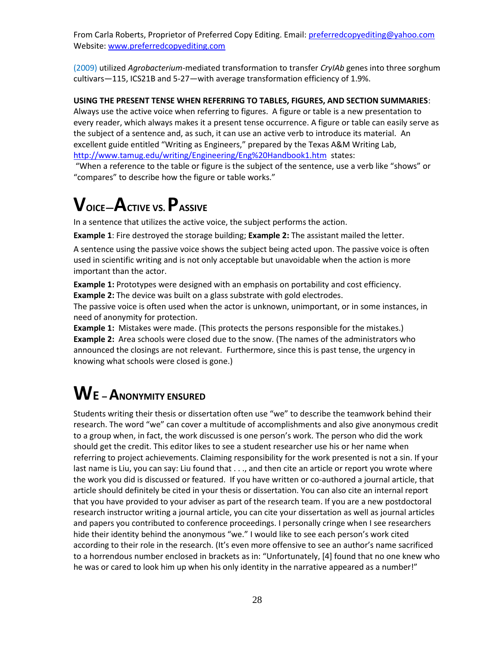(2009) utilized *Agrobacterium*-mediated transformation to transfer *CryIAb* genes into three sorghum cultivars—115, ICS21B and 5-27—with average transformation efficiency of 1.9%.

#### **USING THE PRESENT TENSE WHEN REFERRING TO TABLES, FIGURES, AND SECTION SUMMARIES**:

Always use the active voice when referring to figures. A figure or table is a new presentation to every reader, which always makes it a present tense occurrence. A figure or table can easily serve as the subject of a sentence and, as such, it can use an active verb to introduce its material. An excellent guide entitled "Writing as Engineers," prepared by the Texas A&M Writing Lab, <http://www.tamug.edu/writing/Engineering/Eng%20Handbook1.htm>states:

"When a reference to the table or figure is the subject of the sentence, use a verb like "shows" or "compares" to describe how the figure or table works."

## **VOICE—ACTIVE VS. PASSIVE**

In a sentence that utilizes the active voice, the subject performs the action.

**Example 1**: Fire destroyed the storage building; **Example 2:** The assistant mailed the letter.

A sentence using the passive voice shows the subject being acted upon. The passive voice is often used in scientific writing and is not only acceptable but unavoidable when the action is more important than the actor.

**Example 1:** Prototypes were designed with an emphasis on portability and cost efficiency. **Example 2:** The device was built on a glass substrate with gold electrodes.

The passive voice is often used when the actor is unknown, unimportant, or in some instances, in need of anonymity for protection.

**Example 1:** Mistakes were made. (This protects the persons responsible for the mistakes.) **Example 2:** Area schools were closed due to the snow. (The names of the administrators who announced the closings are not relevant. Furthermore, since this is past tense, the urgency in knowing what schools were closed is gone.)

## **W<sup>E</sup>–ANONYMITY ENSURED**

Students writing their thesis or dissertation often use "we" to describe the teamwork behind their research. The word "we" can cover a multitude of accomplishments and also give anonymous credit to a group when, in fact, the work discussed is one person's work. The person who did the work should get the credit. This editor likes to see a student researcher use his or her name when referring to project achievements. Claiming responsibility for the work presented is not a sin. If your last name is Liu, you can say: Liu found that . . ., and then cite an article or report you wrote where the work you did is discussed or featured. If you have written or co-authored a journal article, that article should definitely be cited in your thesis or dissertation. You can also cite an internal report that you have provided to your adviser as part of the research team. If you are a new postdoctoral research instructor writing a journal article, you can cite your dissertation as well as journal articles and papers you contributed to conference proceedings. I personally cringe when I see researchers hide their identity behind the anonymous "we." I would like to see each person's work cited according to their role in the research. (It's even more offensive to see an author's name sacrificed to a horrendous number enclosed in brackets as in: "Unfortunately, [4] found that no one knew who he was or cared to look him up when his only identity in the narrative appeared as a number!"